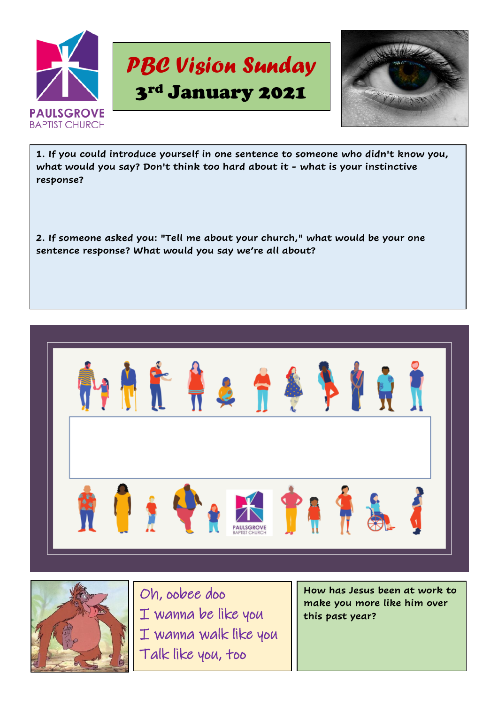



**1. If you could introduce yourself in one sentence to someone who didn't know you, what would you say? Don't think too hard about it - what is your instinctive response?**

**2. If someone asked you: "Tell me about your church," what would be your one sentence response? What would you say we're all about?**





Oh, oobee doo I wanna be like you I wanna walk like you Talk like you, too

**How has Jesus been at work to make you more like him over this past year?**